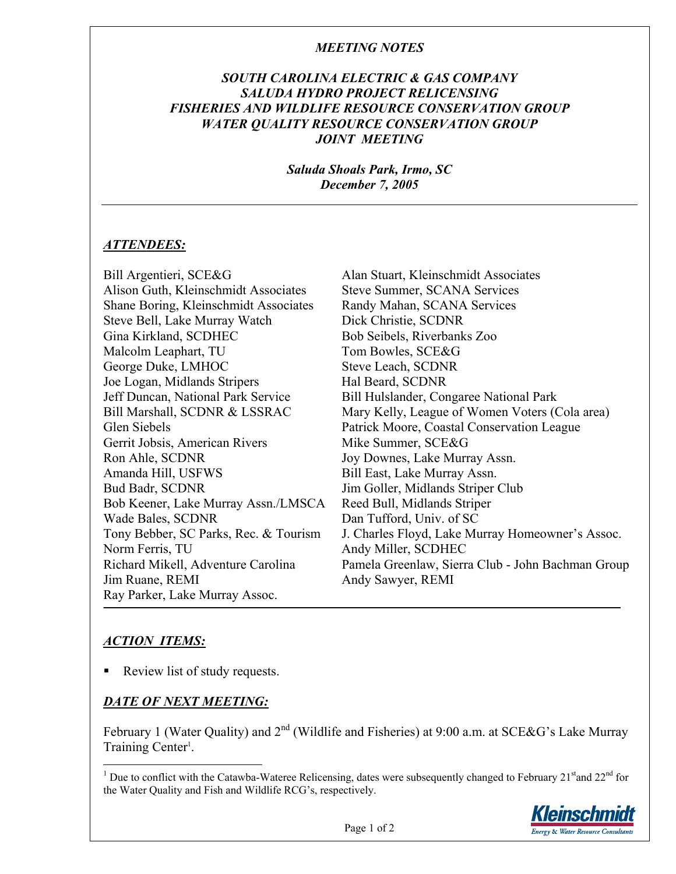## *MEETING NOTES*

## *SOUTH CAROLINA ELECTRIC & GAS COMPANY SALUDA HYDRO PROJECT RELICENSING FISHERIES AND WILDLIFE RESOURCE CONSERVATION GROUP WATER QUALITY RESOURCE CONSERVATION GROUP JOINT MEETING*

*Saluda Shoals Park, Irmo, SC December 7, 2005* 

#### *ATTENDEES:*

Bill Argentieri, SCE&G Alan Stuart, Kleinschmidt Associates Alison Guth, Kleinschmidt Associates Steve Summer, SCANA Services Shane Boring, Kleinschmidt Associates Randy Mahan, SCANA Services Steve Bell, Lake Murray Watch Dick Christie, SCDNR Gina Kirkland, SCDHEC Bob Seibels, Riverbanks Zoo Malcolm Leaphart, TU Tom Bowles, SCE&G George Duke, LMHOC Steve Leach, SCDNR Joe Logan, Midlands Stripers Hal Beard, SCDNR Jeff Duncan, National Park Service Bill Hulslander, Congaree National Park Bill Marshall, SCDNR & LSSRAC Mary Kelly, League of Women Voters (Cola area) Glen Siebels Patrick Moore, Coastal Conservation League Gerrit Jobsis, American Rivers Mike Summer, SCE&G Ron Ahle, SCDNR Joy Downes, Lake Murray Assn. Amanda Hill, USFWS Bill East, Lake Murray Assn. Bud Badr, SCDNR Jim Goller, Midlands Striper Club Bob Keener, Lake Murray Assn./LMSCA Reed Bull, Midlands Striper Wade Bales, SCDNR Dan Tufford, Univ. of SC Tony Bebber, SC Parks, Rec. & Tourism J. Charles Floyd, Lake Murray Homeowner's Assoc. Norm Ferris, TU Andy Miller, SCDHEC Richard Mikell, Adventure Carolina Pamela Greenlaw, Sierra Club - John Bachman Group Jim Ruane, REMI Andy Sawyer, REMI Ray Parker, Lake Murray Assoc.

# *ACTION ITEMS:*

 $\overline{a}$ 

Review list of study requests.

# *DATE OF NEXT MEETING:*

February 1 (Water Quality) and  $2^{nd}$  (Wildlife and Fisheries) at 9:00 a.m. at SCE&G's Lake Murray Training Center<sup>1</sup>.

<sup>&</sup>lt;sup>1</sup> Due to conflict with the Catawba-Wateree Relicensing, dates were subsequently changed to February 21<sup>st</sup> and 22<sup>nd</sup> for the Water Quality and Fish and Wildlife RCG's, respectively.